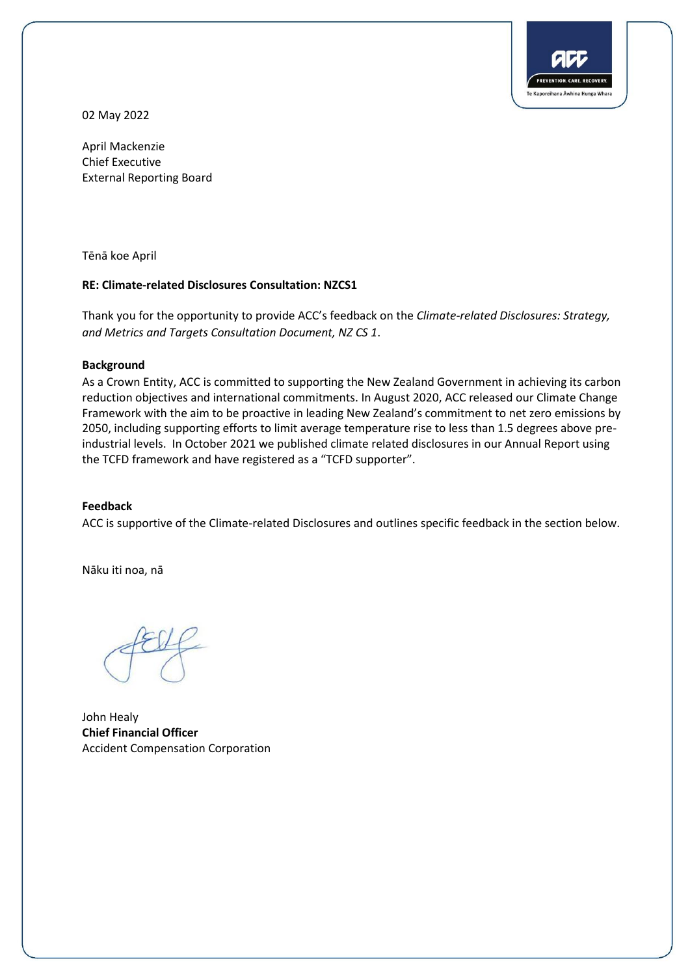

02 May 2022

April Mackenzie Chief Executive External Reporting Board

Tēnā koe April

### **RE: Climate-related Disclosures Consultation: NZCS1**

Thank you for the opportunity to provide ACC's feedback on the *Climate-related Disclosures: Strategy, and Metrics and Targets Consultation Document, NZ CS 1*.

#### **Background**

As a Crown Entity, ACC is committed to supporting the New Zealand Government in achieving its carbon reduction objectives and international commitments. In August 2020, ACC released our Climate Change Framework with the aim to be proactive in leading New Zealand's commitment to net zero emissions by 2050, including supporting efforts to limit average temperature rise to less than 1.5 degrees above preindustrial levels. In October 2021 we published climate related disclosures in our Annual Report using the TCFD framework and have registered as a "TCFD supporter".

### **Feedback**

ACC is supportive of the Climate-related Disclosures and outlines specific feedback in the section below.

Nāku iti noa, nā

John Healy **Chief Financial Officer**  Accident Compensation Corporation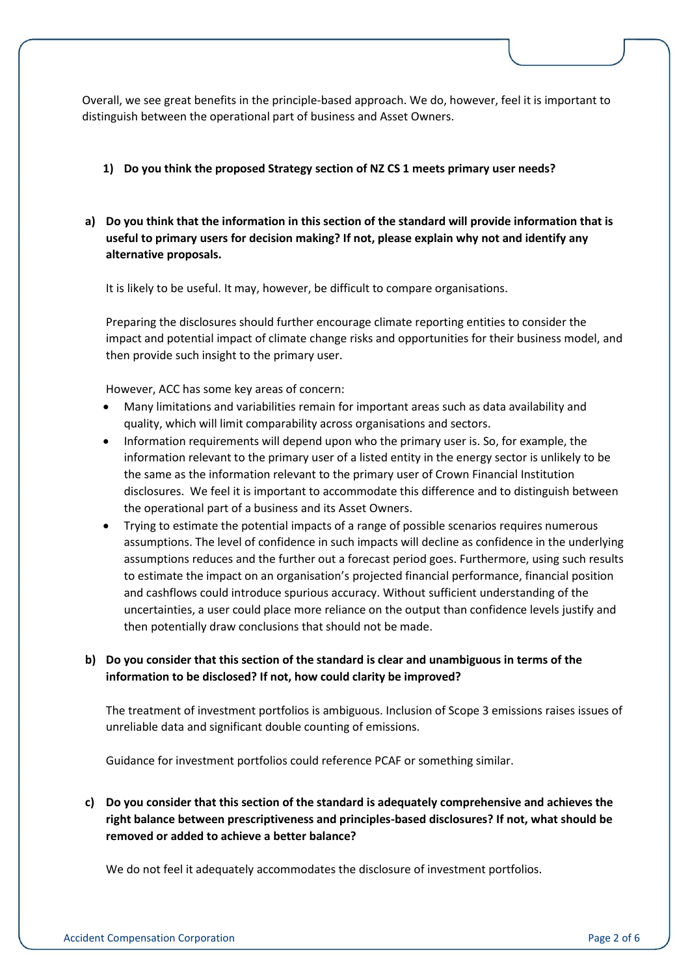Overall, we see great benefits in the principle-based approach. We do, however, feel it is important to distinguish between the operational part of business and Asset Owners.

### **1) Do you think the proposed Strategy section of NZ CS 1 meets primary user needs?**

**a) Do you think that the information in this section of the standard will provide information that is useful to primary users for decision making? If not, please explain why not and identify any alternative proposals.** 

It is likely to be useful. It may, however, be difficult to compare organisations.

Preparing the disclosures should further encourage climate reporting entities to consider the impact and potential impact of climate change risks and opportunities for their business model, and then provide such insight to the primary user.

However, ACC has some key areas of concern:

- Many limitations and variabilities remain for important areas such as data availability and quality, which will limit comparability across organisations and sectors.
- Information requirements will depend upon who the primary user is. So, for example, the information relevant to the primary user of a listed entity in the energy sector is unlikely to be the same as the information relevant to the primary user of Crown Financial Institution disclosures. We feel it is important to accommodate this difference and to distinguish between the operational part of a business and its Asset Owners.
- Trying to estimate the potential impacts of a range of possible scenarios requires numerous assumptions. The level of confidence in such impacts will decline as confidence in the underlying assumptions reduces and the further out a forecast period goes. Furthermore, using such results to estimate the impact on an organisation's projected financial performance, financial position and cashflows could introduce spurious accuracy. Without sufficient understanding of the uncertainties, a user could place more reliance on the output than confidence levels justify and then potentially draw conclusions that should not be made.

# **b) Do you consider that this section of the standard is clear and unambiguous in terms of the information to be disclosed? If not, how could clarity be improved?**

The treatment of investment portfolios is ambiguous. Inclusion of Scope 3 emissions raises issues of unreliable data and significant double counting of emissions.

Guidance for investment portfolios could reference PCAF or something similar.

**c) Do you consider that this section of the standard is adequately comprehensive and achieves the right balance between prescriptiveness and principles-based disclosures? If not, what should be removed or added to achieve a better balance?** 

We do not feel it adequately accommodates the disclosure of investment portfolios.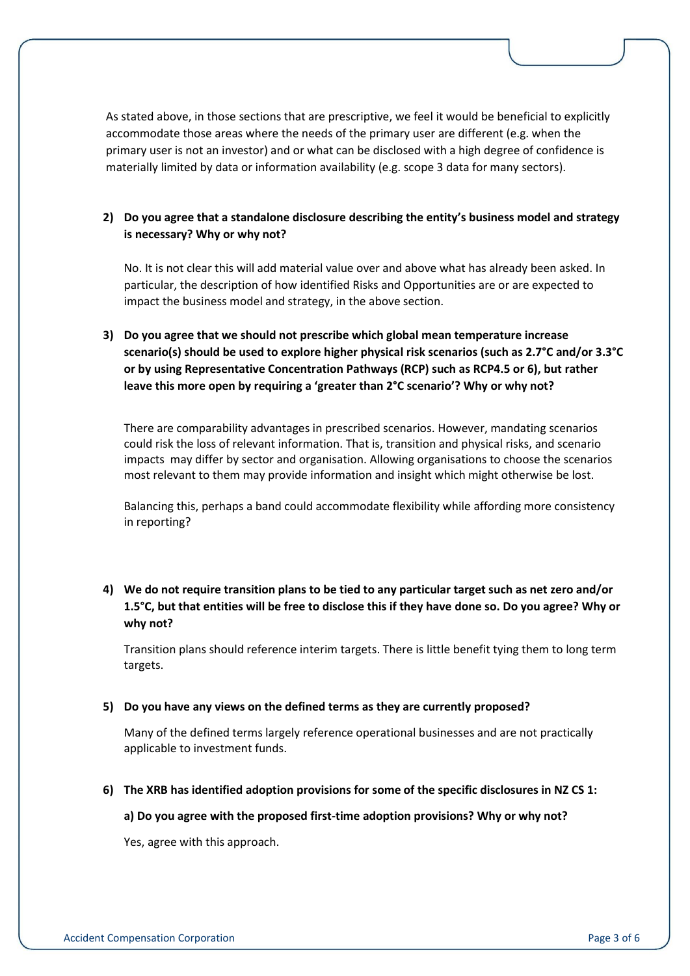As stated above, in those sections that are prescriptive, we feel it would be beneficial to explicitly accommodate those areas where the needs of the primary user are different (e.g. when the primary user is not an investor) and or what can be disclosed with a high degree of confidence is materially limited by data or information availability (e.g. scope 3 data for many sectors).

# **2) Do you agree that a standalone disclosure describing the entity's business model and strategy is necessary? Why or why not?**

No. It is not clear this will add material value over and above what has already been asked. In particular, the description of how identified Risks and Opportunities are or are expected to impact the business model and strategy, in the above section.

**3) Do you agree that we should not prescribe which global mean temperature increase scenario(s) should be used to explore higher physical risk scenarios (such as 2.7°C and/or 3.3°C or by using Representative Concentration Pathways (RCP) such as RCP4.5 or 6), but rather leave this more open by requiring a 'greater than 2°C scenario'? Why or why not?** 

There are comparability advantages in prescribed scenarios. However, mandating scenarios could risk the loss of relevant information. That is, transition and physical risks, and scenario impacts may differ by sector and organisation. Allowing organisations to choose the scenarios most relevant to them may provide information and insight which might otherwise be lost.

Balancing this, perhaps a band could accommodate flexibility while affording more consistency in reporting?

# **4) We do not require transition plans to be tied to any particular target such as net zero and/or 1.5°C, but that entities will be free to disclose this if they have done so. Do you agree? Why or why not?**

Transition plans should reference interim targets. There is little benefit tying them to long term targets.

### **5) Do you have any views on the defined terms as they are currently proposed?**

Many of the defined terms largely reference operational businesses and are not practically applicable to investment funds.

**6) The XRB has identified adoption provisions for some of the specific disclosures in NZ CS 1:**

#### **a) Do you agree with the proposed first-time adoption provisions? Why or why not?**

Yes, agree with this approach.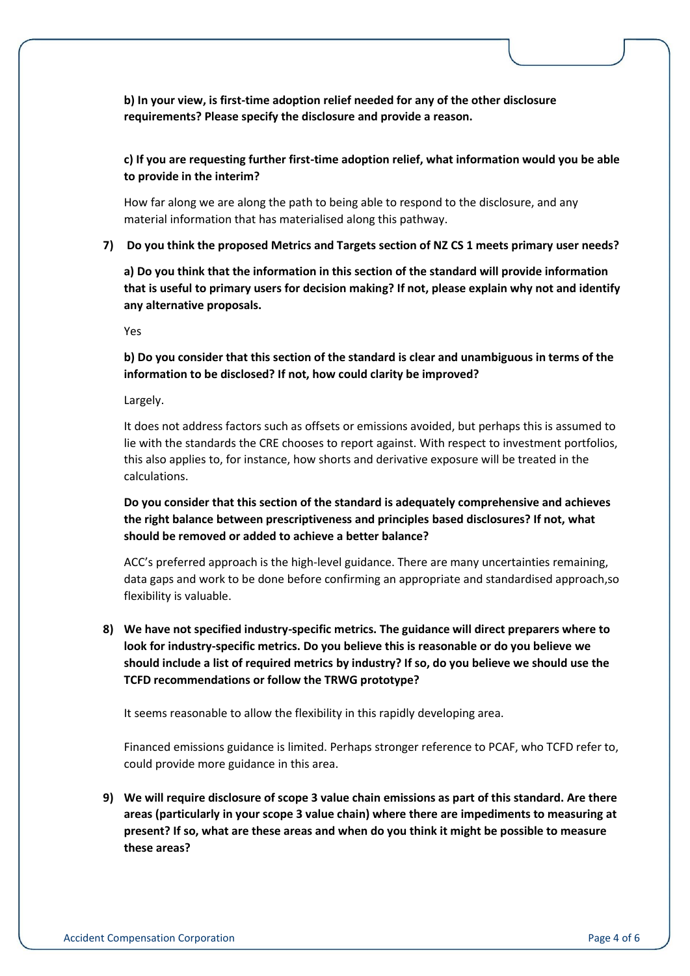**b) In your view, is first-time adoption relief needed for any of the other disclosure requirements? Please specify the disclosure and provide a reason.** 

**c) If you are requesting further first-time adoption relief, what information would you be able to provide in the interim?** 

How far along we are along the path to being able to respond to the disclosure, and any material information that has materialised along this pathway.

**7) Do you think the proposed Metrics and Targets section of NZ CS 1 meets primary user needs?** 

**a) Do you think that the information in this section of the standard will provide information that is useful to primary users for decision making? If not, please explain why not and identify any alternative proposals.** 

Yes

**b) Do you consider that this section of the standard is clear and unambiguous in terms of the information to be disclosed? If not, how could clarity be improved?** 

Largely.

It does not address factors such as offsets or emissions avoided, but perhaps this is assumed to lie with the standards the CRE chooses to report against. With respect to investment portfolios, this also applies to, for instance, how shorts and derivative exposure will be treated in the calculations.

**Do you consider that this section of the standard is adequately comprehensive and achieves the right balance between prescriptiveness and principles based disclosures? If not, what should be removed or added to achieve a better balance?** 

ACC's preferred approach is the high-level guidance. There are many uncertainties remaining, data gaps and work to be done before confirming an appropriate and standardised approach,so flexibility is valuable.

**8) We have not specified industry-specific metrics. The guidance will direct preparers where to look for industry-specific metrics. Do you believe this is reasonable or do you believe we should include a list of required metrics by industry? If so, do you believe we should use the TCFD recommendations or follow the TRWG prototype?** 

It seems reasonable to allow the flexibility in this rapidly developing area.

Financed emissions guidance is limited. Perhaps stronger reference to PCAF, who TCFD refer to, could provide more guidance in this area.

**9) We will require disclosure of scope 3 value chain emissions as part of this standard. Are there areas (particularly in your scope 3 value chain) where there are impediments to measuring at present? If so, what are these areas and when do you think it might be possible to measure these areas?**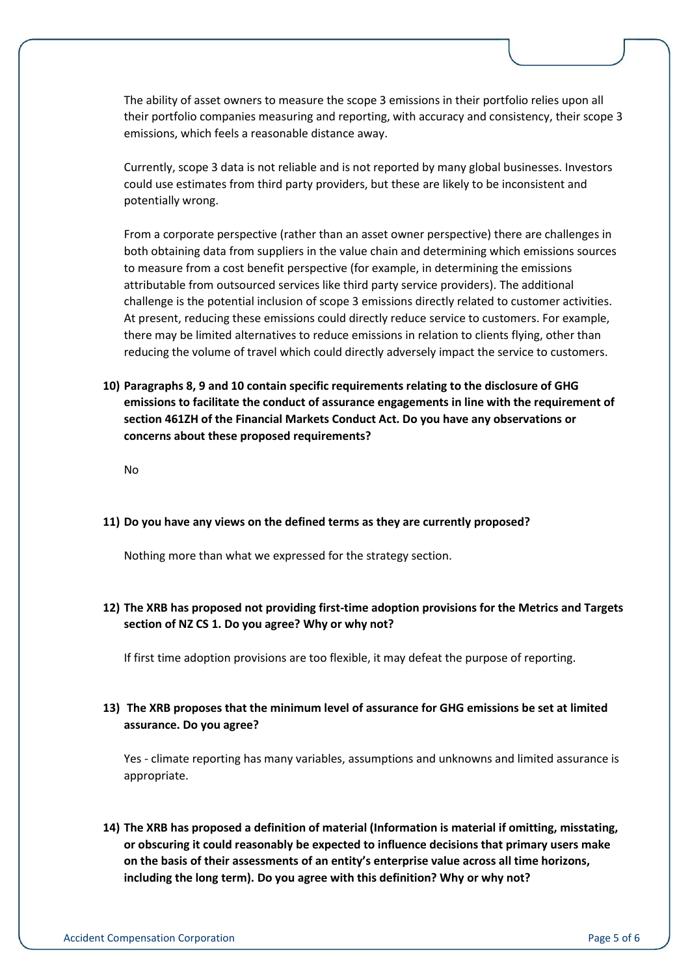The ability of asset owners to measure the scope 3 emissions in their portfolio relies upon all their portfolio companies measuring and reporting, with accuracy and consistency, their scope 3 emissions, which feels a reasonable distance away.

Currently, scope 3 data is not reliable and is not reported by many global businesses. Investors could use estimates from third party providers, but these are likely to be inconsistent and potentially wrong.

From a corporate perspective (rather than an asset owner perspective) there are challenges in both obtaining data from suppliers in the value chain and determining which emissions sources to measure from a cost benefit perspective (for example, in determining the emissions attributable from outsourced services like third party service providers). The additional challenge is the potential inclusion of scope 3 emissions directly related to customer activities. At present, reducing these emissions could directly reduce service to customers. For example, there may be limited alternatives to reduce emissions in relation to clients flying, other than reducing the volume of travel which could directly adversely impact the service to customers.

**10) Paragraphs 8, 9 and 10 contain specific requirements relating to the disclosure of GHG emissions to facilitate the conduct of assurance engagements in line with the requirement of section 461ZH of the Financial Markets Conduct Act. Do you have any observations or concerns about these proposed requirements?** 

No

### **11) Do you have any views on the defined terms as they are currently proposed?**

Nothing more than what we expressed for the strategy section.

**12) The XRB has proposed not providing first-time adoption provisions for the Metrics and Targets section of NZ CS 1. Do you agree? Why or why not?**

If first time adoption provisions are too flexible, it may defeat the purpose of reporting.

### **13) The XRB proposes that the minimum level of assurance for GHG emissions be set at limited assurance. Do you agree?**

Yes - climate reporting has many variables, assumptions and unknowns and limited assurance is appropriate.

**14) The XRB has proposed a definition of material (Information is material if omitting, misstating, or obscuring it could reasonably be expected to influence decisions that primary users make on the basis of their assessments of an entity's enterprise value across all time horizons, including the long term). Do you agree with this definition? Why or why not?**